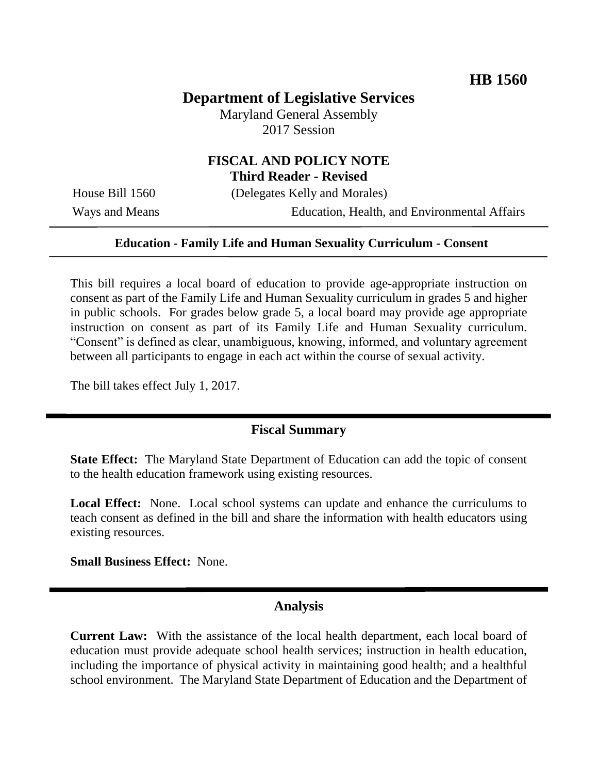### **Department of Legislative Services**

Maryland General Assembly 2017 Session

# **FISCAL AND POLICY NOTE**

**Third Reader - Revised**

House Bill 1560 (Delegates Kelly and Morales)

Ways and Means Education, Health, and Environmental Affairs

#### **Education - Family Life and Human Sexuality Curriculum - Consent**

This bill requires a local board of education to provide age-appropriate instruction on consent as part of the Family Life and Human Sexuality curriculum in grades 5 and higher in public schools. For grades below grade 5, a local board may provide age appropriate instruction on consent as part of its Family Life and Human Sexuality curriculum. "Consent" is defined as clear, unambiguous, knowing, informed, and voluntary agreement between all participants to engage in each act within the course of sexual activity.

The bill takes effect July 1, 2017.

#### **Fiscal Summary**

**State Effect:** The Maryland State Department of Education can add the topic of consent to the health education framework using existing resources.

**Local Effect:** None. Local school systems can update and enhance the curriculums to teach consent as defined in the bill and share the information with health educators using existing resources.

**Small Business Effect:** None.

#### **Analysis**

**Current Law:** With the assistance of the local health department, each local board of education must provide adequate school health services; instruction in health education, including the importance of physical activity in maintaining good health; and a healthful school environment. The Maryland State Department of Education and the Department of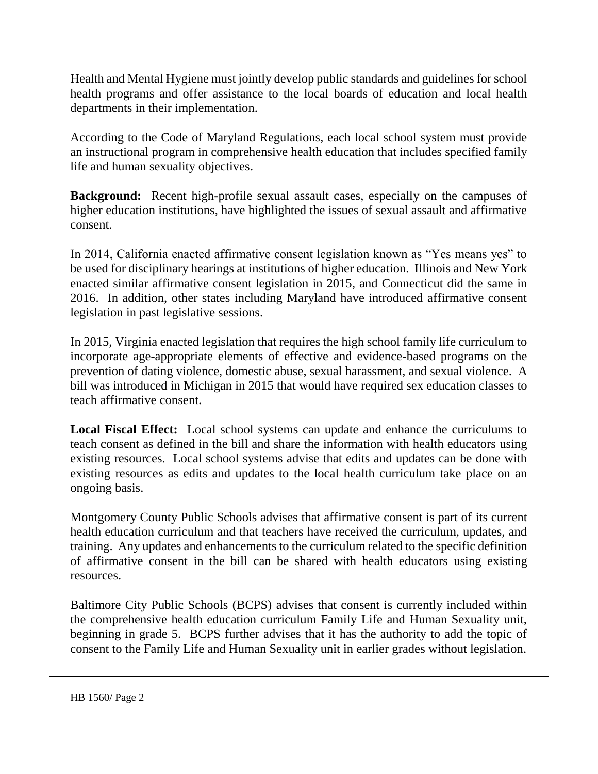Health and Mental Hygiene must jointly develop public standards and guidelines for school health programs and offer assistance to the local boards of education and local health departments in their implementation.

According to the Code of Maryland Regulations, each local school system must provide an instructional program in comprehensive health education that includes specified family life and human sexuality objectives.

**Background:** Recent high-profile sexual assault cases, especially on the campuses of higher education institutions, have highlighted the issues of sexual assault and affirmative consent.

In 2014, California enacted affirmative consent legislation known as "Yes means yes" to be used for disciplinary hearings at institutions of higher education. Illinois and New York enacted similar affirmative consent legislation in 2015, and Connecticut did the same in 2016. In addition, other states including Maryland have introduced affirmative consent legislation in past legislative sessions.

In 2015, Virginia enacted legislation that requires the high school family life curriculum to incorporate age-appropriate elements of effective and evidence-based programs on the prevention of dating violence, domestic abuse, sexual harassment, and sexual violence. A bill was introduced in Michigan in 2015 that would have required sex education classes to teach affirmative consent.

**Local Fiscal Effect:** Local school systems can update and enhance the curriculums to teach consent as defined in the bill and share the information with health educators using existing resources. Local school systems advise that edits and updates can be done with existing resources as edits and updates to the local health curriculum take place on an ongoing basis.

Montgomery County Public Schools advises that affirmative consent is part of its current health education curriculum and that teachers have received the curriculum, updates, and training. Any updates and enhancements to the curriculum related to the specific definition of affirmative consent in the bill can be shared with health educators using existing resources.

Baltimore City Public Schools (BCPS) advises that consent is currently included within the comprehensive health education curriculum Family Life and Human Sexuality unit, beginning in grade 5. BCPS further advises that it has the authority to add the topic of consent to the Family Life and Human Sexuality unit in earlier grades without legislation.